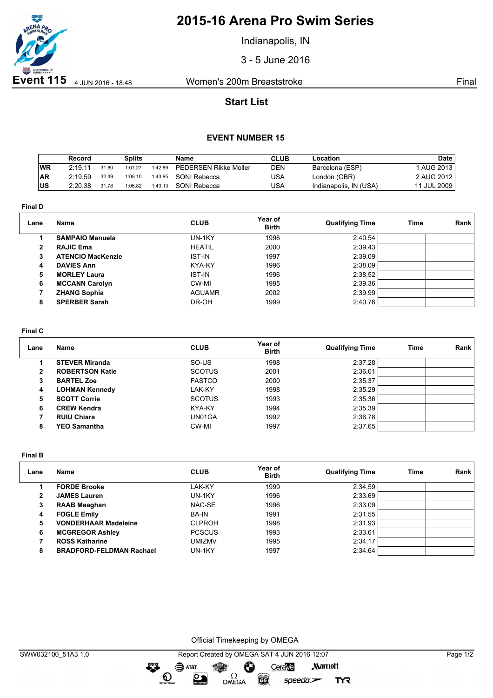

# **2015-16 Arena Pro Swim Series**

Indianapolis, IN

3 - 5 June 2016

## **Start List**

### **EVENT NUMBER 15**

|           | Record  |       | <b>Splits</b> |         | Name                         | <b>CLUB</b> | Location               | Date        |
|-----------|---------|-------|---------------|---------|------------------------------|-------------|------------------------|-------------|
| <b>WR</b> | 2:19.11 | 31.80 | 1:07.27       | 1:42.89 | <b>PEDERSEN Rikke Moller</b> | DEN         | Barcelona (ESP)        | 1 AUG 2013  |
| <b>AR</b> | 2:19.59 | 32.49 | 1:08.10       | 1:43.95 | SONI Rebecca                 | USA         | London (GBR)           | 2 AUG 2012  |
| ∣US       | 2:20.38 | 31.78 | 1:06.82       | 1:43.13 | SONI Rebecca                 | USA         | Indianapolis, IN (USA) | 11 JUL 2009 |

**Final D**

| Lane         | <b>Name</b>              | <b>CLUB</b>   | Year of<br><b>Birth</b> | <b>Qualifying Time</b> | Time | Rank |
|--------------|--------------------------|---------------|-------------------------|------------------------|------|------|
|              | <b>SAMPAIO Manuela</b>   | UN-1KY        | 1996                    | 2:40.54                |      |      |
| $\mathbf{2}$ | <b>RAJIC Ema</b>         | <b>HEATIL</b> | 2000                    | 2:39.43                |      |      |
| 3            | <b>ATENCIO MacKenzie</b> | <b>IST-IN</b> | 1997                    | 2:39.09                |      |      |
| 4            | <b>DAVIES Ann</b>        | KYA-KY        | 1996                    | 2:38.09                |      |      |
| 5            | <b>MORLEY Laura</b>      | <b>IST-IN</b> | 1996                    | 2:38.52                |      |      |
| 6            | <b>MCCANN Carolyn</b>    | CW-MI         | 1995                    | 2:39.36                |      |      |
|              | <b>ZHANG Sophia</b>      | <b>AGUAMR</b> | 2002                    | 2:39.99                |      |      |
| 8            | <b>SPERBER Sarah</b>     | DR-OH         | 1999                    | 2:40.76                |      |      |

#### **Final C**

| Lane | Name                   | <b>CLUB</b>   | Year of<br><b>Birth</b> | <b>Qualifying Time</b> | Time | Rank |
|------|------------------------|---------------|-------------------------|------------------------|------|------|
|      | <b>STEVER Miranda</b>  | SO-US         | 1998                    | 2:37.28                |      |      |
| 2    | <b>ROBERTSON Katie</b> | <b>SCOTUS</b> | 2001                    | 2:36.01                |      |      |
| 3    | <b>BARTEL Zoe</b>      | <b>FASTCO</b> | 2000                    | 2:35.37                |      |      |
| 4    | <b>LOHMAN Kennedy</b>  | LAK-KY        | 1998                    | 2:35.29                |      |      |
| 5    | <b>SCOTT Corrie</b>    | <b>SCOTUS</b> | 1993                    | 2:35.36                |      |      |
| 6    | <b>CREW Kendra</b>     | KYA-KY        | 1994                    | 2:35.39                |      |      |
|      | <b>RUIU Chiara</b>     | UN01GA        | 1992                    | 2:36.78                |      |      |
| 8    | <b>YEO Samantha</b>    | CW-MI         | 1997                    | 2:37.65                |      |      |

**Final B**

| Lane | <b>Name</b>                     | <b>CLUB</b>   | Year of<br><b>Birth</b> | <b>Qualifying Time</b> | Time | Rank |
|------|---------------------------------|---------------|-------------------------|------------------------|------|------|
|      | <b>FORDE Brooke</b>             | LAK-KY        | 1999                    | 2:34.59                |      |      |
| 2    | <b>JAMES Lauren</b>             | UN-1KY        | 1996                    | 2:33.69                |      |      |
| 3    | <b>RAAB Meaghan</b>             | NAC-SE        | 1996                    | 2:33.09                |      |      |
| 4    | <b>FOGLE Emily</b>              | <b>BA-IN</b>  | 1991                    | 2:31.55                |      |      |
| 5    | <b>VONDERHAAR Madeleine</b>     | <b>CLPROH</b> | 1998                    | 2:31.93                |      |      |
| 6    | <b>MCGREGOR Ashley</b>          | <b>PCSCUS</b> | 1993                    | 2:33.61                |      |      |
|      | <b>ROSS Katharine</b>           | UMIZMV        | 1995                    | 2:34.17                |      |      |
| 8    | <b>BRADFORD-FELDMAN Rachael</b> | UN-1KY        | 1997                    | 2:34.64                |      |      |

Official Timekeeping by OMEGA

OMEGA

greng:

 $\mathbf{O}$ 

SAT&T

 $\mathfrak{D}$ 

CeraVe

 $speedo$ 

**CO** 

**Marriott** 

**TYR**